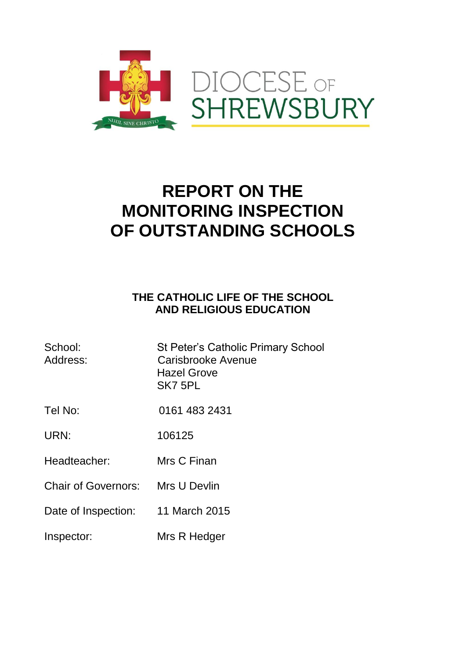

# **REPORT ON THE MONITORING INSPECTION OF OUTSTANDING SCHOOLS**

## **THE CATHOLIC LIFE OF THE SCHOOL AND RELIGIOUS EDUCATION**

| School:<br>Address:        | <b>St Peter's Catholic Primary School</b><br>Carisbrooke Avenue<br><b>Hazel Grove</b><br>SK7 5PL |
|----------------------------|--------------------------------------------------------------------------------------------------|
| Tel No:                    | 0161 483 2431                                                                                    |
| URN:                       | 106125                                                                                           |
| Headteacher:               | Mrs C Finan                                                                                      |
| <b>Chair of Governors:</b> | Mrs U Devlin                                                                                     |
| Date of Inspection:        | 11 March 2015                                                                                    |
| Inspector:                 | Mrs R Hedger                                                                                     |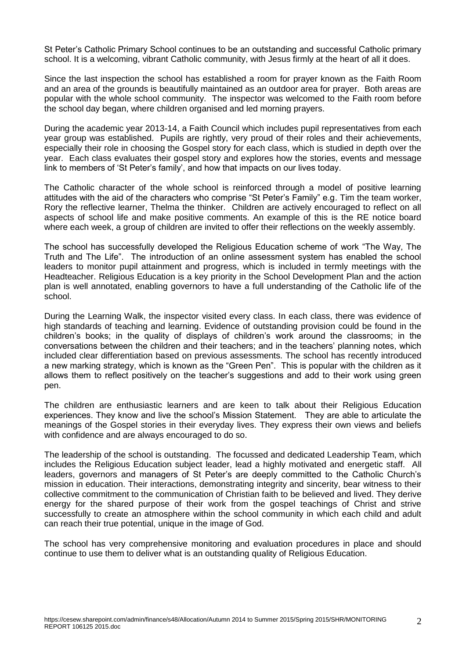St Peter's Catholic Primary School continues to be an outstanding and successful Catholic primary school. It is a welcoming, vibrant Catholic community, with Jesus firmly at the heart of all it does.

Since the last inspection the school has established a room for prayer known as the Faith Room and an area of the grounds is beautifully maintained as an outdoor area for prayer. Both areas are popular with the whole school community. The inspector was welcomed to the Faith room before the school day began, where children organised and led morning prayers.

During the academic year 2013-14, a Faith Council which includes pupil representatives from each year group was established. Pupils are rightly, very proud of their roles and their achievements, especially their role in choosing the Gospel story for each class, which is studied in depth over the year. Each class evaluates their gospel story and explores how the stories, events and message link to members of 'St Peter's family', and how that impacts on our lives today.

The Catholic character of the whole school is reinforced through a model of positive learning attitudes with the aid of the characters who comprise "St Peter's Family" e.g. Tim the team worker, Rory the reflective learner, Thelma the thinker. Children are actively encouraged to reflect on all aspects of school life and make positive comments. An example of this is the RE notice board where each week, a group of children are invited to offer their reflections on the weekly assembly.

The school has successfully developed the Religious Education scheme of work "The Way, The Truth and The Life". The introduction of an online assessment system has enabled the school leaders to monitor pupil attainment and progress, which is included in termly meetings with the Headteacher. Religious Education is a key priority in the School Development Plan and the action plan is well annotated, enabling governors to have a full understanding of the Catholic life of the school.

During the Learning Walk, the inspector visited every class. In each class, there was evidence of high standards of teaching and learning. Evidence of outstanding provision could be found in the children's books; in the quality of displays of children's work around the classrooms; in the conversations between the children and their teachers; and in the teachers' planning notes, which included clear differentiation based on previous assessments. The school has recently introduced a new marking strategy, which is known as the "Green Pen". This is popular with the children as it allows them to reflect positively on the teacher's suggestions and add to their work using green pen.

The children are enthusiastic learners and are keen to talk about their Religious Education experiences. They know and live the school's Mission Statement. They are able to articulate the meanings of the Gospel stories in their everyday lives. They express their own views and beliefs with confidence and are always encouraged to do so.

The leadership of the school is outstanding. The focussed and dedicated Leadership Team, which includes the Religious Education subject leader, lead a highly motivated and energetic staff. All leaders, governors and managers of St Peter's are deeply committed to the Catholic Church's mission in education. Their interactions, demonstrating integrity and sincerity, bear witness to their collective commitment to the communication of Christian faith to be believed and lived. They derive energy for the shared purpose of their work from the gospel teachings of Christ and strive successfully to create an atmosphere within the school community in which each child and adult can reach their true potential, unique in the image of God.

The school has very comprehensive monitoring and evaluation procedures in place and should continue to use them to deliver what is an outstanding quality of Religious Education.